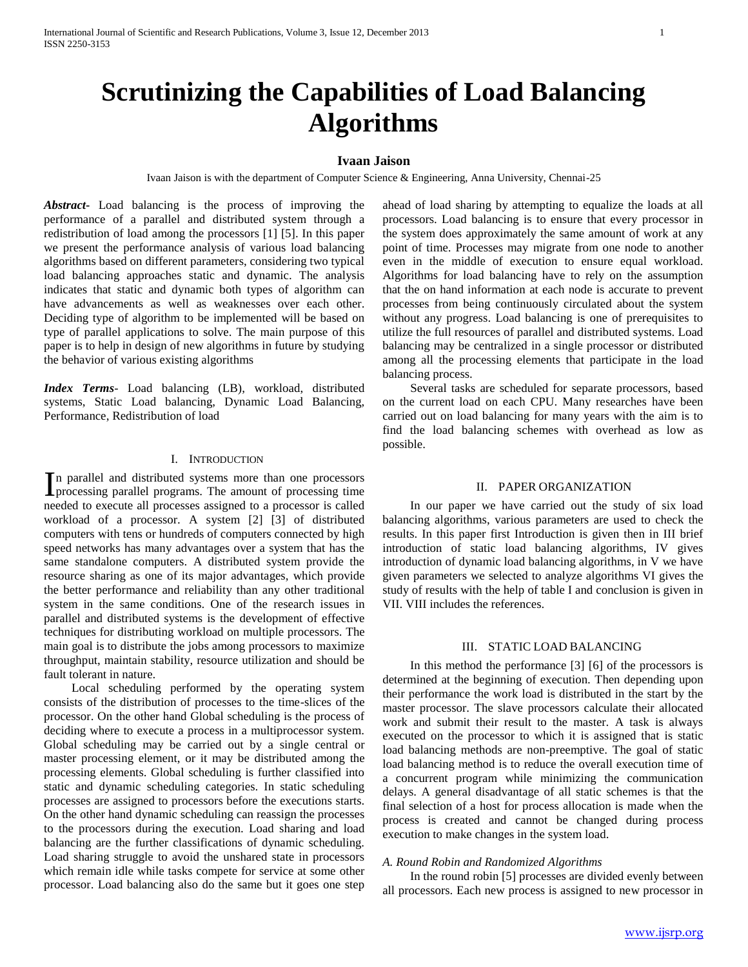# **Scrutinizing the Capabilities of Load Balancing Algorithms**

## **Ivaan Jaison**

Ivaan Jaison is with the department of Computer Science & Engineering, Anna University, Chennai-25

*Abstract***-** Load balancing is the process of improving the performance of a parallel and distributed system through a redistribution of load among the processors [1] [5]. In this paper we present the performance analysis of various load balancing algorithms based on different parameters, considering two typical load balancing approaches static and dynamic. The analysis indicates that static and dynamic both types of algorithm can have advancements as well as weaknesses over each other. Deciding type of algorithm to be implemented will be based on type of parallel applications to solve. The main purpose of this paper is to help in design of new algorithms in future by studying the behavior of various existing algorithms

*Index Terms*- Load balancing (LB), workload, distributed systems, Static Load balancing, Dynamic Load Balancing, Performance, Redistribution of load

## I. INTRODUCTION

n parallel and distributed systems more than one processors In parallel and distributed systems more than one processors<br>processing parallel programs. The amount of processing time needed to execute all processes assigned to a processor is called workload of a processor. A system [2] [3] of distributed computers with tens or hundreds of computers connected by high speed networks has many advantages over a system that has the same standalone computers. A distributed system provide the resource sharing as one of its major advantages, which provide the better performance and reliability than any other traditional system in the same conditions. One of the research issues in parallel and distributed systems is the development of effective techniques for distributing workload on multiple processors. The main goal is to distribute the jobs among processors to maximize throughput, maintain stability, resource utilization and should be fault tolerant in nature.

 Local scheduling performed by the operating system consists of the distribution of processes to the time-slices of the processor. On the other hand Global scheduling is the process of deciding where to execute a process in a multiprocessor system. Global scheduling may be carried out by a single central or master processing element, or it may be distributed among the processing elements. Global scheduling is further classified into static and dynamic scheduling categories. In static scheduling processes are assigned to processors before the executions starts. On the other hand dynamic scheduling can reassign the processes to the processors during the execution. Load sharing and load balancing are the further classifications of dynamic scheduling. Load sharing struggle to avoid the unshared state in processors which remain idle while tasks compete for service at some other processor. Load balancing also do the same but it goes one step

ahead of load sharing by attempting to equalize the loads at all processors. Load balancing is to ensure that every processor in the system does approximately the same amount of work at any point of time. Processes may migrate from one node to another even in the middle of execution to ensure equal workload. Algorithms for load balancing have to rely on the assumption that the on hand information at each node is accurate to prevent processes from being continuously circulated about the system without any progress. Load balancing is one of prerequisites to utilize the full resources of parallel and distributed systems. Load balancing may be centralized in a single processor or distributed among all the processing elements that participate in the load balancing process.

 Several tasks are scheduled for separate processors, based on the current load on each CPU. Many researches have been carried out on load balancing for many years with the aim is to find the load balancing schemes with overhead as low as possible.

#### II. PAPER ORGANIZATION

 In our paper we have carried out the study of six load balancing algorithms, various parameters are used to check the results. In this paper first Introduction is given then in III brief introduction of static load balancing algorithms, IV gives introduction of dynamic load balancing algorithms, in V we have given parameters we selected to analyze algorithms VI gives the study of results with the help of table I and conclusion is given in VII. VIII includes the references.

#### III. STATIC LOAD BALANCING

 In this method the performance [3] [6] of the processors is determined at the beginning of execution. Then depending upon their performance the work load is distributed in the start by the master processor. The slave processors calculate their allocated work and submit their result to the master. A task is always executed on the processor to which it is assigned that is static load balancing methods are non-preemptive. The goal of static load balancing method is to reduce the overall execution time of a concurrent program while minimizing the communication delays. A general disadvantage of all static schemes is that the final selection of a host for process allocation is made when the process is created and cannot be changed during process execution to make changes in the system load.

## *A. Round Robin and Randomized Algorithms*

 In the round robin [5] processes are divided evenly between all processors. Each new process is assigned to new processor in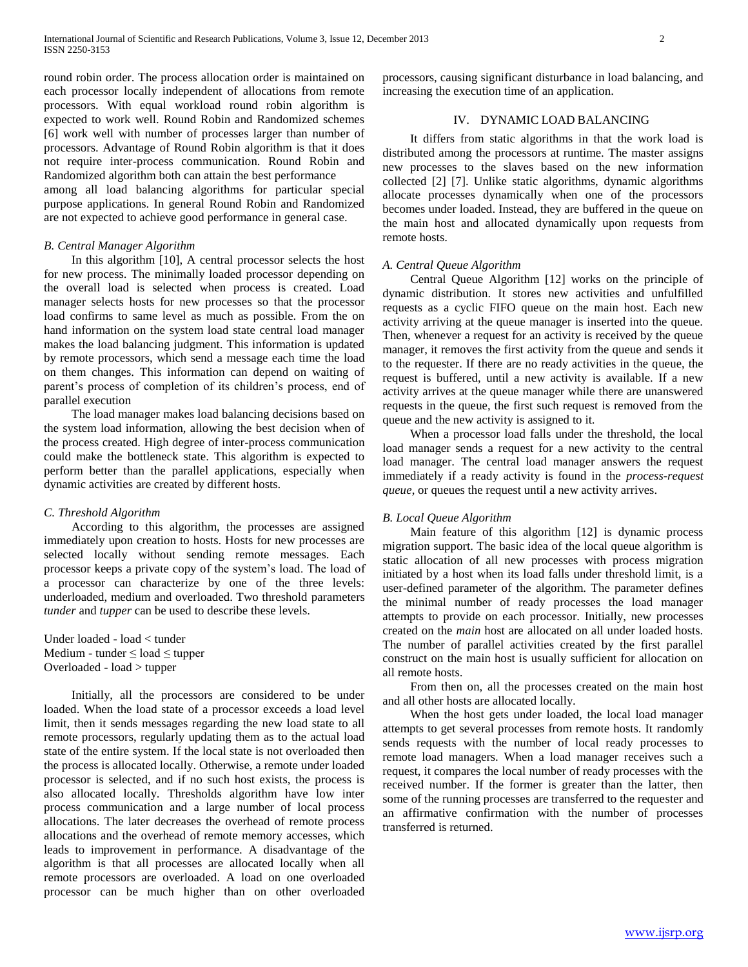round robin order. The process allocation order is maintained on each processor locally independent of allocations from remote processors. With equal workload round robin algorithm is expected to work well. Round Robin and Randomized schemes [6] work well with number of processes larger than number of processors. Advantage of Round Robin algorithm is that it does not require inter-process communication. Round Robin and Randomized algorithm both can attain the best performance

among all load balancing algorithms for particular special purpose applications. In general Round Robin and Randomized are not expected to achieve good performance in general case.

## *B. Central Manager Algorithm*

 In this algorithm [10], A central processor selects the host for new process. The minimally loaded processor depending on the overall load is selected when process is created. Load manager selects hosts for new processes so that the processor load confirms to same level as much as possible. From the on hand information on the system load state central load manager makes the load balancing judgment. This information is updated by remote processors, which send a message each time the load on them changes. This information can depend on waiting of parent's process of completion of its children's process, end of parallel execution

 The load manager makes load balancing decisions based on the system load information, allowing the best decision when of the process created. High degree of inter-process communication could make the bottleneck state. This algorithm is expected to perform better than the parallel applications, especially when dynamic activities are created by different hosts.

#### *C. Threshold Algorithm*

 According to this algorithm, the processes are assigned immediately upon creation to hosts. Hosts for new processes are selected locally without sending remote messages. Each processor keeps a private copy of the system's load. The load of a processor can characterize by one of the three levels: underloaded, medium and overloaded. Two threshold parameters *tunder* and *tupper* can be used to describe these levels.

Under loaded - load < tunder Medium - tunder  $\leq$  load  $\leq$  tupper Overloaded - load > tupper

 Initially, all the processors are considered to be under loaded. When the load state of a processor exceeds a load level limit, then it sends messages regarding the new load state to all remote processors, regularly updating them as to the actual load state of the entire system. If the local state is not overloaded then the process is allocated locally. Otherwise, a remote under loaded processor is selected, and if no such host exists, the process is also allocated locally. Thresholds algorithm have low inter process communication and a large number of local process allocations. The later decreases the overhead of remote process allocations and the overhead of remote memory accesses, which leads to improvement in performance. A disadvantage of the algorithm is that all processes are allocated locally when all remote processors are overloaded. A load on one overloaded processor can be much higher than on other overloaded processors, causing significant disturbance in load balancing, and increasing the execution time of an application.

# IV. DYNAMIC LOAD BALANCING

 It differs from static algorithms in that the work load is distributed among the processors at runtime. The master assigns new processes to the slaves based on the new information collected [2] [7]. Unlike static algorithms, dynamic algorithms allocate processes dynamically when one of the processors becomes under loaded. Instead, they are buffered in the queue on the main host and allocated dynamically upon requests from remote hosts.

### *A. Central Queue Algorithm*

 Central Queue Algorithm [12] works on the principle of dynamic distribution. It stores new activities and unfulfilled requests as a cyclic FIFO queue on the main host. Each new activity arriving at the queue manager is inserted into the queue. Then, whenever a request for an activity is received by the queue manager, it removes the first activity from the queue and sends it to the requester. If there are no ready activities in the queue, the request is buffered, until a new activity is available. If a new activity arrives at the queue manager while there are unanswered requests in the queue, the first such request is removed from the queue and the new activity is assigned to it.

 When a processor load falls under the threshold, the local load manager sends a request for a new activity to the central load manager. The central load manager answers the request immediately if a ready activity is found in the *process-request queue*, or queues the request until a new activity arrives.

#### *B. Local Queue Algorithm*

 Main feature of this algorithm [12] is dynamic process migration support. The basic idea of the local queue algorithm is static allocation of all new processes with process migration initiated by a host when its load falls under threshold limit, is a user-defined parameter of the algorithm. The parameter defines the minimal number of ready processes the load manager attempts to provide on each processor. Initially, new processes created on the *main* host are allocated on all under loaded hosts. The number of parallel activities created by the first parallel construct on the main host is usually sufficient for allocation on all remote hosts.

 From then on, all the processes created on the main host and all other hosts are allocated locally.

 When the host gets under loaded, the local load manager attempts to get several processes from remote hosts. It randomly sends requests with the number of local ready processes to remote load managers. When a load manager receives such a request, it compares the local number of ready processes with the received number. If the former is greater than the latter, then some of the running processes are transferred to the requester and an affirmative confirmation with the number of processes transferred is returned.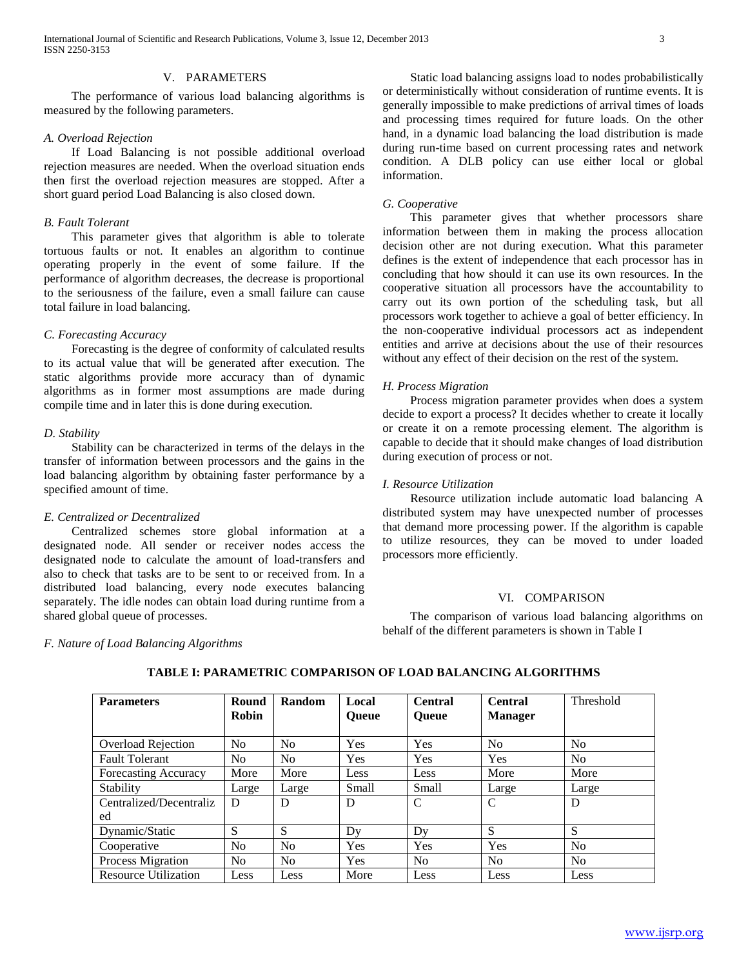International Journal of Scientific and Research Publications, Volume 3, Issue 12, December 2013 3 ISSN 2250-3153

#### V. PARAMETERS

 The performance of various load balancing algorithms is measured by the following parameters.

## *A. Overload Rejection*

 If Load Balancing is not possible additional overload rejection measures are needed. When the overload situation ends then first the overload rejection measures are stopped. After a short guard period Load Balancing is also closed down.

## *B. Fault Tolerant*

 This parameter gives that algorithm is able to tolerate tortuous faults or not. It enables an algorithm to continue operating properly in the event of some failure. If the performance of algorithm decreases, the decrease is proportional to the seriousness of the failure, even a small failure can cause total failure in load balancing.

### *C. Forecasting Accuracy*

 Forecasting is the degree of conformity of calculated results to its actual value that will be generated after execution. The static algorithms provide more accuracy than of dynamic algorithms as in former most assumptions are made during compile time and in later this is done during execution.

#### *D. Stability*

 Stability can be characterized in terms of the delays in the transfer of information between processors and the gains in the load balancing algorithm by obtaining faster performance by a specified amount of time.

## *E. Centralized or Decentralized*

 Centralized schemes store global information at a designated node. All sender or receiver nodes access the designated node to calculate the amount of load-transfers and also to check that tasks are to be sent to or received from. In a distributed load balancing, every node executes balancing separately. The idle nodes can obtain load during runtime from a shared global queue of processes.

 Static load balancing assigns load to nodes probabilistically or deterministically without consideration of runtime events. It is generally impossible to make predictions of arrival times of loads and processing times required for future loads. On the other hand, in a dynamic load balancing the load distribution is made during run-time based on current processing rates and network condition. A DLB policy can use either local or global information.

#### *G. Cooperative*

 This parameter gives that whether processors share information between them in making the process allocation decision other are not during execution. What this parameter defines is the extent of independence that each processor has in concluding that how should it can use its own resources. In the cooperative situation all processors have the accountability to carry out its own portion of the scheduling task, but all processors work together to achieve a goal of better efficiency. In the non-cooperative individual processors act as independent entities and arrive at decisions about the use of their resources without any effect of their decision on the rest of the system.

#### *H. Process Migration*

 Process migration parameter provides when does a system decide to export a process? It decides whether to create it locally or create it on a remote processing element. The algorithm is capable to decide that it should make changes of load distribution during execution of process or not.

### *I. Resource Utilization*

 Resource utilization include automatic load balancing A distributed system may have unexpected number of processes that demand more processing power. If the algorithm is capable to utilize resources, they can be moved to under loaded processors more efficiently.

## VI. COMPARISON

 The comparison of various load balancing algorithms on behalf of the different parameters is shown in Table I

#### *F. Nature of Load Balancing Algorithms*

| <b>Parameters</b>           | Round          | Random         | Local        | <b>Central</b> | <b>Central</b> | Threshold      |
|-----------------------------|----------------|----------------|--------------|----------------|----------------|----------------|
|                             | Robin          |                | <b>Oueue</b> | <b>Oueue</b>   | <b>Manager</b> |                |
|                             |                |                |              |                |                |                |
| <b>Overload Rejection</b>   | N <sub>o</sub> | N <sub>o</sub> | <b>Yes</b>   | Yes            | N <sub>0</sub> | N <sub>o</sub> |
| <b>Fault Tolerant</b>       | N <sub>0</sub> | No.            | Yes          | Yes            | <b>Yes</b>     | N <sub>o</sub> |
| <b>Forecasting Accuracy</b> | More           | More           | Less         | Less           | More           | More           |
| Stability                   | Large          | Large          | Small        | Small          | Large          | Large          |
| Centralized/Decentraliz     | D              | D              | D            | C              | C              | D              |
| ed                          |                |                |              |                |                |                |
| Dynamic/Static              | S              | S              | Dv           | Dy             | S              | S              |
| Cooperative                 | N <sub>o</sub> | No             | <b>Yes</b>   | Yes            | Yes            | N <sub>o</sub> |
| Process Migration           | N <sub>0</sub> | No             | Yes          | N <sub>0</sub> | N <sub>0</sub> | N <sub>o</sub> |
| <b>Resource Utilization</b> | Less           | Less           | More         | Less           | Less           | Less           |

# **TABLE I: PARAMETRIC COMPARISON OF LOAD BALANCING ALGORITHMS**